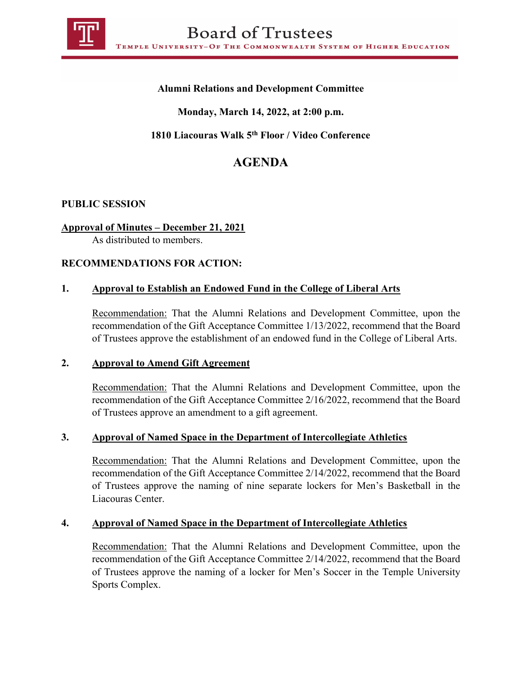

# **Alumni Relations and Development Committee**

# **Monday, March 14, 2022, at 2:00 p.m.**

# **1810 Liacouras Walk 5th Floor / Video Conference**

# **AGENDA**

#### **PUBLIC SESSION**

### **Approval of Minutes – December 21, 2021**

As distributed to members.

#### **RECOMMENDATIONS FOR ACTION:**

#### **1. Approval to Establish an Endowed Fund in the College of Liberal Arts**

Recommendation: That the Alumni Relations and Development Committee, upon the recommendation of the Gift Acceptance Committee 1/13/2022, recommend that the Board of Trustees approve the establishment of an endowed fund in the College of Liberal Arts.

#### **2. Approval to Amend Gift Agreement**

Recommendation: That the Alumni Relations and Development Committee, upon the recommendation of the Gift Acceptance Committee 2/16/2022, recommend that the Board of Trustees approve an amendment to a gift agreement.

#### **3. Approval of Named Space in the Department of Intercollegiate Athletics**

Recommendation: That the Alumni Relations and Development Committee, upon the recommendation of the Gift Acceptance Committee 2/14/2022, recommend that the Board of Trustees approve the naming of nine separate lockers for Men's Basketball in the Liacouras Center.

#### **4. Approval of Named Space in the Department of Intercollegiate Athletics**

Recommendation: That the Alumni Relations and Development Committee, upon the recommendation of the Gift Acceptance Committee 2/14/2022, recommend that the Board of Trustees approve the naming of a locker for Men's Soccer in the Temple University Sports Complex.